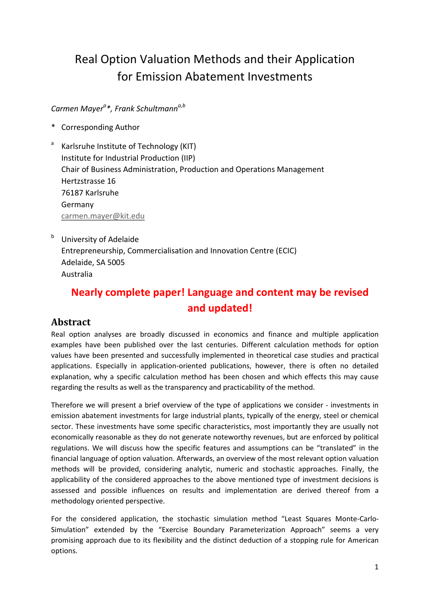# Real Option Valuation Methods and their Application for Emission Abatement Investments

### *Carmen Mayera \*, Frank Schultmanna,b*

- \* Corresponding Author
- Karlsruhe Institute of Technology (KIT) Institute for Industrial Production (IIP) Chair of Business Administration, Production and Operations Management Hertzstrasse 16 76187 Karlsruhe Germany [carmen.mayer@kit.edu](mailto:carmen.mayer@kit.edu)
- **b** University of Adelaide Entrepreneurship, Commercialisation and Innovation Centre (ECIC) Adelaide, SA 5005 Australia

## **Nearly complete paper! Language and content may be revised and updated!**

### **Abstract**

Real option analyses are broadly discussed in economics and finance and multiple application examples have been published over the last centuries. Different calculation methods for option values have been presented and successfully implemented in theoretical case studies and practical applications. Especially in application-oriented publications, however, there is often no detailed explanation, why a specific calculation method has been chosen and which effects this may cause regarding the results as well as the transparency and practicability of the method.

Therefore we will present a brief overview of the type of applications we consider - investments in emission abatement investments for large industrial plants, typically of the energy, steel or chemical sector. These investments have some specific characteristics, most importantly they are usually not economically reasonable as they do not generate noteworthy revenues, but are enforced by political regulations. We will discuss how the specific features and assumptions can be "translated" in the financial language of option valuation. Afterwards, an overview of the most relevant option valuation methods will be provided, considering analytic, numeric and stochastic approaches. Finally, the applicability of the considered approaches to the above mentioned type of investment decisions is assessed and possible influences on results and implementation are derived thereof from a methodology oriented perspective.

For the considered application, the stochastic simulation method "Least Squares Monte-Carlo-Simulation" extended by the "Exercise Boundary Parameterization Approach" seems a very promising approach due to its flexibility and the distinct deduction of a stopping rule for American options.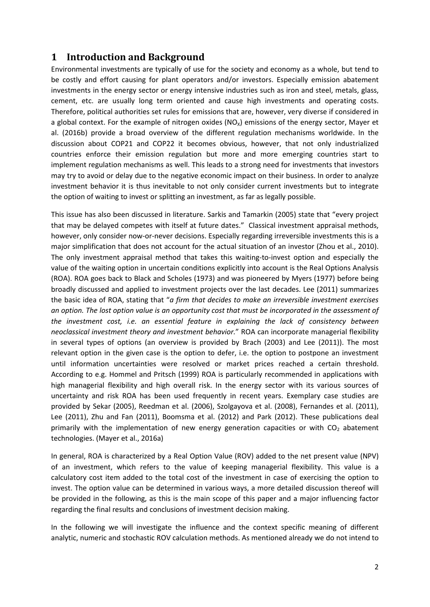### **1 Introduction and Background**

Environmental investments are typically of use for the society and economy as a whole, but tend to be costly and effort causing for plant operators and/or investors. Especially emission abatement investments in the energy sector or energy intensive industries such as iron and steel, metals, glass, cement, etc. are usually long term oriented and cause high investments and operating costs. Therefore, political authorities set rules for emissions that are, however, very diverse if considered in a global context. For the example of nitrogen oxides ( $NO<sub>x</sub>$ ) emissions of the energy sector, Mayer et al. (2016b) provide a broad overview of the different regulation mechanisms worldwide. In the discussion about COP21 and COP22 it becomes obvious, however, that not only industrialized countries enforce their emission regulation but more and more emerging countries start to implement regulation mechanisms as well. This leads to a strong need for investments that investors may try to avoid or delay due to the negative economic impact on their business. In order to analyze investment behavior it is thus inevitable to not only consider current investments but to integrate the option of waiting to invest or splitting an investment, as far as legally possible.

This issue has also been discussed in literature. Sarkis and Tamarkin (2005) state that "every project that may be delayed competes with itself at future dates." Classical investment appraisal methods, however, only consider now-or-never decisions. Especially regarding irreversible investments this is a major simplification that does not account for the actual situation of an investor (Zhou et al., 2010). The only investment appraisal method that takes this waiting-to-invest option and especially the value of the waiting option in uncertain conditions explicitly into account is the Real Options Analysis (ROA). ROA goes back to Black and Scholes (1973) and was pioneered by Myers (1977) before being broadly discussed and applied to investment projects over the last decades. Lee (2011) summarizes the basic idea of ROA, stating that "*a firm that decides to make an irreversible investment exercises an option. The lost option value is an opportunity cost that must be incorporated in the assessment of the investment cost, i.e. an essential feature in explaining the lack of consistency between neoclassical investment theory and investment behavior.*" ROA can incorporate managerial flexibility in several types of options (an overview is provided by Brach (2003) and Lee (2011)). The most relevant option in the given case is the option to defer, i.e. the option to postpone an investment until information uncertainties were resolved or market prices reached a certain threshold. According to e.g. Hommel and Pritsch (1999) ROA is particularly recommended in applications with high managerial flexibility and high overall risk. In the energy sector with its various sources of uncertainty and risk ROA has been used frequently in recent years. Exemplary case studies are provided by Sekar (2005), Reedman et al. (2006), Szolgayova et al. (2008), Fernandes et al. (2011), Lee (2011), Zhu and Fan (2011), Boomsma et al. (2012) and Park (2012). These publications deal primarily with the implementation of new energy generation capacities or with  $CO<sub>2</sub>$  abatement technologies. (Mayer et al., 2016a)

In general, ROA is characterized by a Real Option Value (ROV) added to the net present value (NPV) of an investment, which refers to the value of keeping managerial flexibility. This value is a calculatory cost item added to the total cost of the investment in case of exercising the option to invest. The option value can be determined in various ways, a more detailed discussion thereof will be provided in the following, as this is the main scope of this paper and a major influencing factor regarding the final results and conclusions of investment decision making.

In the following we will investigate the influence and the context specific meaning of different analytic, numeric and stochastic ROV calculation methods. As mentioned already we do not intend to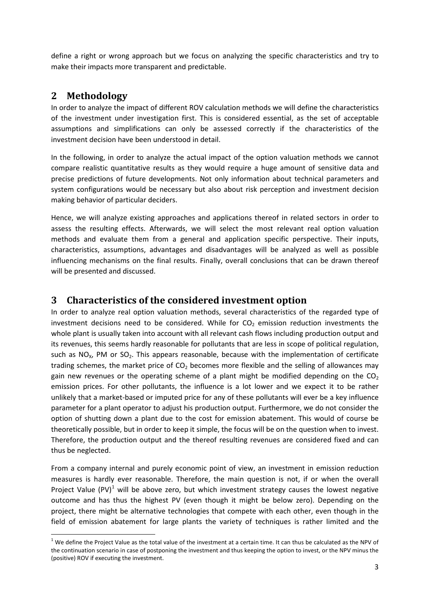define a right or wrong approach but we focus on analyzing the specific characteristics and try to make their impacts more transparent and predictable.

### **2 Methodology**

In order to analyze the impact of different ROV calculation methods we will define the characteristics of the investment under investigation first. This is considered essential, as the set of acceptable assumptions and simplifications can only be assessed correctly if the characteristics of the investment decision have been understood in detail.

In the following, in order to analyze the actual impact of the option valuation methods we cannot compare realistic quantitative results as they would require a huge amount of sensitive data and precise predictions of future developments. Not only information about technical parameters and system configurations would be necessary but also about risk perception and investment decision making behavior of particular deciders.

Hence, we will analyze existing approaches and applications thereof in related sectors in order to assess the resulting effects. Afterwards, we will select the most relevant real option valuation methods and evaluate them from a general and application specific perspective. Their inputs, characteristics, assumptions, advantages and disadvantages will be analyzed as well as possible influencing mechanisms on the final results. Finally, overall conclusions that can be drawn thereof will be presented and discussed.

### **3 Characteristics of the considered investment option**

In order to analyze real option valuation methods, several characteristics of the regarded type of investment decisions need to be considered. While for  $CO<sub>2</sub>$  emission reduction investments the whole plant is usually taken into account with all relevant cash flows including production output and its revenues, this seems hardly reasonable for pollutants that are less in scope of political regulation, such as  $NO<sub>x</sub>$ , PM or  $SO<sub>2</sub>$ . This appears reasonable, because with the implementation of certificate trading schemes, the market price of  $CO<sub>2</sub>$  becomes more flexible and the selling of allowances may gain new revenues or the operating scheme of a plant might be modified depending on the  $CO<sub>2</sub>$ emission prices. For other pollutants, the influence is a lot lower and we expect it to be rather unlikely that a market-based or imputed price for any of these pollutants will ever be a key influence parameter for a plant operator to adjust his production output. Furthermore, we do not consider the option of shutting down a plant due to the cost for emission abatement. This would of course be theoretically possible, but in order to keep it simple, the focus will be on the question when to invest. Therefore, the production output and the thereof resulting revenues are considered fixed and can thus be neglected.

From a company internal and purely economic point of view, an investment in emission reduction measures is hardly ever reasonable. Therefore, the main question is not, if or when the overall Project Value  $(PV)^1$  $(PV)^1$  will be above zero, but which investment strategy causes the lowest negative outcome and has thus the highest PV (even though it might be below zero). Depending on the project, there might be alternative technologies that compete with each other, even though in the field of emission abatement for large plants the variety of techniques is rather limited and the

<span id="page-2-0"></span> $1$  We define the Project Value as the total value of the investment at a certain time. It can thus be calculated as the NPV of the continuation scenario in case of postponing the investment and thus keeping the option to invest, or the NPV minus the (positive) ROV if executing the investment.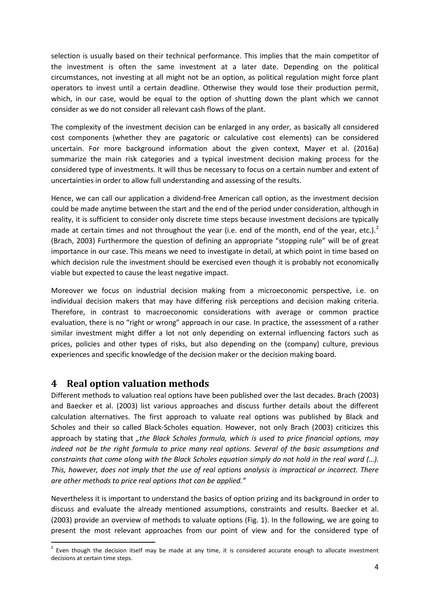selection is usually based on their technical performance. This implies that the main competitor of the investment is often the same investment at a later date. Depending on the political circumstances, not investing at all might not be an option, as political regulation might force plant operators to invest until a certain deadline. Otherwise they would lose their production permit, which, in our case, would be equal to the option of shutting down the plant which we cannot consider as we do not consider all relevant cash flows of the plant.

The complexity of the investment decision can be enlarged in any order, as basically all considered cost components (whether they are pagatoric or calculative cost elements) can be considered uncertain. For more background information about the given context, Mayer et al. (2016a) summarize the main risk categories and a typical investment decision making process for the considered type of investments. It will thus be necessary to focus on a certain number and extent of uncertainties in order to allow full understanding and assessing of the results.

Hence, we can call our application a dividend-free American call option, as the investment decision could be made anytime between the start and the end of the period under consideration, although in reality, it is sufficient to consider only discrete time steps because investment decisions are typically made at certain times and not throughout the year (i.e. end of the month, end of the year, etc.).<sup>[2](#page-3-0)</sup> (Brach, 2003) Furthermore the question of defining an appropriate "stopping rule" will be of great importance in our case. This means we need to investigate in detail, at which point in time based on which decision rule the investment should be exercised even though it is probably not economically viable but expected to cause the least negative impact.

Moreover we focus on industrial decision making from a microeconomic perspective, i.e. on individual decision makers that may have differing risk perceptions and decision making criteria. Therefore, in contrast to macroeconomic considerations with average or common practice evaluation, there is no "right or wrong" approach in our case. In practice, the assessment of a rather similar investment might differ a lot not only depending on external influencing factors such as prices, policies and other types of risks, but also depending on the (company) culture, previous experiences and specific knowledge of the decision maker or the decision making board.

### **4 Real option valuation methods**

Different methods to valuation real options have been published over the last decades. Brach (2003) and Baecker et al. (2003) list various approaches and discuss further details about the different calculation alternatives. The first approach to valuate real options was published by Black and Scholes and their so called Black-Scholes equation. However, not only Brach (2003) criticizes this approach by stating that *"the Black Scholes formula, which is used to price financial options, may indeed not be the right formula to price many real options. Several of the basic assumptions and constraints that come along with the Black Scholes equation simply do not hold in the real word (…). This, however, does not imply that the use of real options analysis is impractical or incorrect. There are other methods to price real options that can be applied."*

Nevertheless it is important to understand the basics of option prizing and its background in order to discuss and evaluate the already mentioned assumptions, constraints and results. Baecker et al. (2003) provide an overview of methods to valuate options [\(Fig. 1\)](#page-4-0). In the following, we are going to present the most relevant approaches from our point of view and for the considered type of

<span id="page-3-0"></span> $<sup>2</sup>$  Even though the decision itself may be made at any time, it is considered accurate enough to allocate investment</sup> decisions at certain time steps.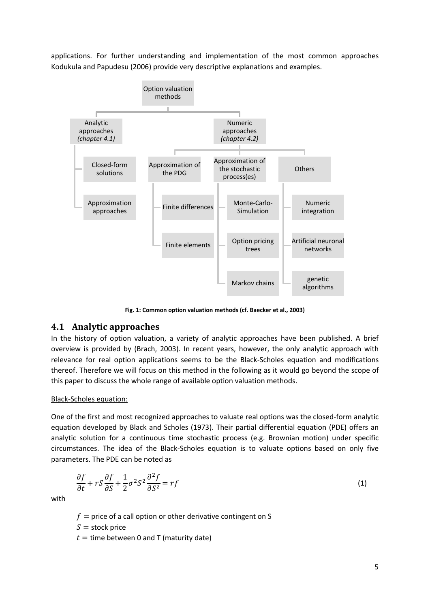applications. For further understanding and implementation of the most common approaches Kodukula and Papudesu (2006) provide very descriptive explanations and examples.



**Fig. 1: Common option valuation methods (cf. Baecker et al., 2003)**

#### <span id="page-4-0"></span>**4.1 Analytic approaches**

In the history of option valuation, a variety of analytic approaches have been published. A brief overview is provided by (Brach, 2003). In recent years, however, the only analytic approach with relevance for real option applications seems to be the Black-Scholes equation and modifications thereof. Therefore we will focus on this method in the following as it would go beyond the scope of this paper to discuss the whole range of available option valuation methods.

#### Black-Scholes equation:

One of the first and most recognized approaches to valuate real options was the closed-form analytic equation developed by Black and Scholes (1973). Their partial differential equation (PDE) offers an analytic solution for a continuous time stochastic process (e.g. Brownian motion) under specific circumstances. The idea of the Black-Scholes equation is to valuate options based on only five parameters. The PDE can be noted as

$$
\frac{\partial f}{\partial t} + rS \frac{\partial f}{\partial S} + \frac{1}{2} \sigma^2 S^2 \frac{\partial^2 f}{\partial S^2} = rf \tag{1}
$$

with

 $f =$  price of a call option or other derivative contingent on S

 $S =$  stock price

 $t =$  time between 0 and T (maturity date)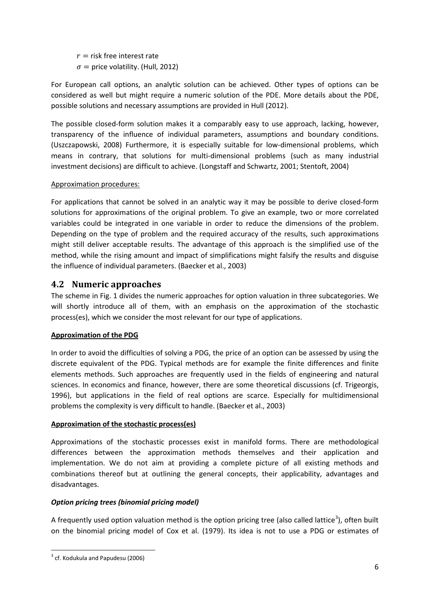$r =$  risk free interest rate  $\sigma$  = price volatility. (Hull, 2012)

For European call options, an analytic solution can be achieved. Other types of options can be considered as well but might require a numeric solution of the PDE. More details about the PDE, possible solutions and necessary assumptions are provided in Hull (2012).

The possible closed-form solution makes it a comparably easy to use approach, lacking, however, transparency of the influence of individual parameters, assumptions and boundary conditions. (Uszczapowski, 2008) Furthermore, it is especially suitable for low-dimensional problems, which means in contrary, that solutions for multi-dimensional problems (such as many industrial investment decisions) are difficult to achieve. (Longstaff and Schwartz, 2001; Stentoft, 2004)

#### Approximation procedures:

For applications that cannot be solved in an analytic way it may be possible to derive closed-form solutions for approximations of the original problem. To give an example, two or more correlated variables could be integrated in one variable in order to reduce the dimensions of the problem. Depending on the type of problem and the required accuracy of the results, such approximations might still deliver acceptable results. The advantage of this approach is the simplified use of the method, while the rising amount and impact of simplifications might falsify the results and disguise the influence of individual parameters. (Baecker et al., 2003)

#### **4.2 Numeric approaches**

The scheme in [Fig. 1](#page-4-0) divides the numeric approaches for option valuation in three subcategories. We will shortly introduce all of them, with an emphasis on the approximation of the stochastic process(es), which we consider the most relevant for our type of applications.

#### **Approximation of the PDG**

In order to avoid the difficulties of solving a PDG, the price of an option can be assessed by using the discrete equivalent of the PDG. Typical methods are for example the finite differences and finite elements methods. Such approaches are frequently used in the fields of engineering and natural sciences. In economics and finance, however, there are some theoretical discussions (cf. Trigeorgis, 1996), but applications in the field of real options are scarce. Especially for multidimensional problems the complexity is very difficult to handle. (Baecker et al., 2003)

#### **Approximation of the stochastic process(es)**

Approximations of the stochastic processes exist in manifold forms. There are methodological differences between the approximation methods themselves and their application and implementation. We do not aim at providing a complete picture of all existing methods and combinations thereof but at outlining the general concepts, their applicability, advantages and disadvantages.

#### *Option pricing trees (binomial pricing model)*

A frequently used option valuation method is the option pricing tree (also called lattice<sup>[3](#page-5-0)</sup>), often built on the binomial pricing model of Cox et al. (1979). Its idea is not to use a PDG or estimates of

<span id="page-5-0"></span> $3$  cf. Kodukula and Papudesu (2006)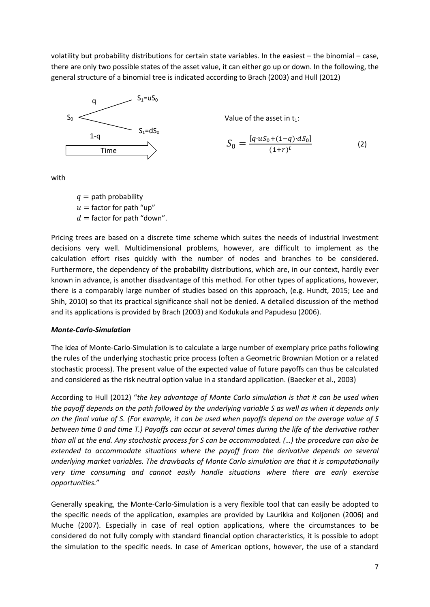volatility but probability distributions for certain state variables. In the easiest – the binomial – case, there are only two possible states of the asset value, it can either go up or down. In the following, the general structure of a binomial tree is indicated according to Brach (2003) and Hull (2012)



Value of the asset in  $t_1$ :

$$
S_0 = \frac{[q \cdot u S_0 + (1 - q) \cdot d S_0]}{(1 + r)^t}
$$
 (2)

with

 $q =$  path probability  $u =$  factor for path "up"  $d =$  factor for path "down".

Pricing trees are based on a discrete time scheme which suites the needs of industrial investment decisions very well. Multidimensional problems, however, are difficult to implement as the calculation effort rises quickly with the number of nodes and branches to be considered. Furthermore, the dependency of the probability distributions, which are, in our context, hardly ever known in advance, is another disadvantage of this method. For other types of applications, however, there is a comparably large number of studies based on this approach, (e.g. Hundt, 2015; Lee and Shih, 2010) so that its practical significance shall not be denied. A detailed discussion of the method and its applications is provided by Brach (2003) and Kodukula and Papudesu (2006).

#### *Monte-Carlo-Simulation*

The idea of Monte-Carlo-Simulation is to calculate a large number of exemplary price paths following the rules of the underlying stochastic price process (often a Geometric Brownian Motion or a related stochastic process). The present value of the expected value of future payoffs can thus be calculated and considered as the risk neutral option value in a standard application. (Baecker et al., 2003)

According to Hull (2012) "*the key advantage of Monte Carlo simulation is that it can be used when the payoff depends on the path followed by the underlying variable S as well as when it depends only on the final value of S. (For example, it can be used when payoffs depend on the average value of S between time 0 and time T.) Payoffs can occur at several times during the life of the derivative rather than all at the end. Any stochastic process for S can be accommodated. (…) the procedure can also be extended to accommodate situations where the payoff from the derivative depends on several underlying market variables. The drawbacks of Monte Carlo simulation are that it is computationally very time consuming and cannot easily handle situations where there are early exercise opportunities.*"

Generally speaking, the Monte-Carlo-Simulation is a very flexible tool that can easily be adopted to the specific needs of the application, examples are provided by Laurikka and Koljonen (2006) and Muche (2007). Especially in case of real option applications, where the circumstances to be considered do not fully comply with standard financial option characteristics, it is possible to adopt the simulation to the specific needs. In case of American options, however, the use of a standard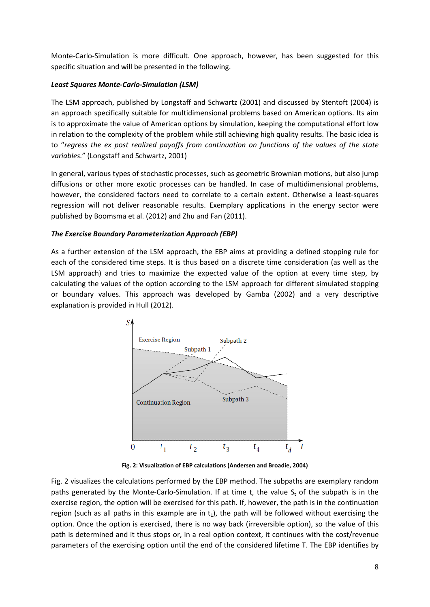Monte-Carlo-Simulation is more difficult. One approach, however, has been suggested for this specific situation and will be presented in the following.

#### *Least Squares Monte-Carlo-Simulation (LSM)*

The LSM approach, published by Longstaff and Schwartz (2001) and discussed by Stentoft (2004) is an approach specifically suitable for multidimensional problems based on American options. Its aim is to approximate the value of American options by simulation, keeping the computational effort low in relation to the complexity of the problem while still achieving high quality results. The basic idea is to "*regress the ex post realized payoffs from continuation on functions of the values of the state variables.*" (Longstaff and Schwartz, 2001)

In general, various types of stochastic processes, such as geometric Brownian motions, but also jump diffusions or other more exotic processes can be handled. In case of multidimensional problems, however, the considered factors need to correlate to a certain extent. Otherwise a least-squares regression will not deliver reasonable results. Exemplary applications in the energy sector were published by Boomsma et al. (2012) and Zhu and Fan (2011).

#### *The Exercise Boundary Parameterization Approach (EBP)*

As a further extension of the LSM approach, the EBP aims at providing a defined stopping rule for each of the considered time steps. It is thus based on a discrete time consideration (as well as the LSM approach) and tries to maximize the expected value of the option at every time step, by calculating the values of the option according to the LSM approach for different simulated stopping or boundary values. This approach was developed by Gamba (2002) and a very descriptive explanation is provided in Hull (2012).



**Fig. 2: Visualization of EBP calculations (Andersen and Broadie, 2004)**

<span id="page-7-0"></span>[Fig. 2](#page-7-0) visualizes the calculations performed by the EBP method. The subpaths are exemplary random paths generated by the Monte-Carlo-Simulation. If at time t, the value  $S_t$  of the subpath is in the exercise region, the option will be exercised for this path. If, however, the path is in the continuation region (such as all paths in this example are in  $t_1$ ), the path will be followed without exercising the option. Once the option is exercised, there is no way back (irreversible option), so the value of this path is determined and it thus stops or, in a real option context, it continues with the cost/revenue parameters of the exercising option until the end of the considered lifetime T. The EBP identifies by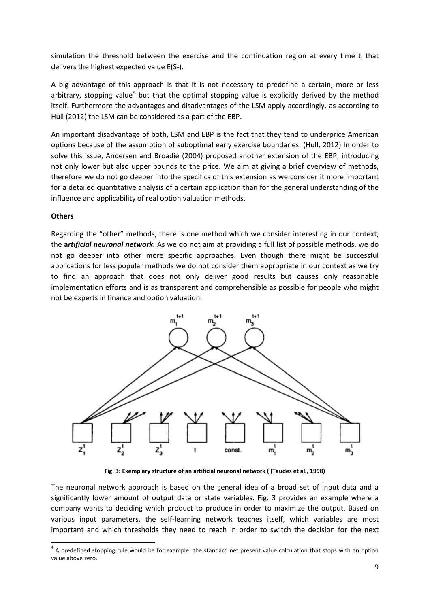simulation the threshold between the exercise and the continuation region at every time  $t_i$  that delivers the highest expected value  $E(S_T)$ .

A big advantage of this approach is that it is not necessary to predefine a certain, more or less arbitrary, stopping value<sup>[4](#page-8-1)</sup> but that the optimal stopping value is explicitly derived by the method itself. Furthermore the advantages and disadvantages of the LSM apply accordingly, as according to Hull (2012) the LSM can be considered as a part of the EBP.

An important disadvantage of both, LSM and EBP is the fact that they tend to underprice American options because of the assumption of suboptimal early exercise boundaries. (Hull, 2012) In order to solve this issue, Andersen and Broadie (2004) proposed another extension of the EBP, introducing not only lower but also upper bounds to the price. We aim at giving a brief overview of methods, therefore we do not go deeper into the specifics of this extension as we consider it more important for a detailed quantitative analysis of a certain application than for the general understanding of the influence and applicability of real option valuation methods.

#### **Others**

Regarding the "other" methods, there is one method which we consider interesting in our context, the **a***rtificial neuronal network.* As we do not aim at providing a full list of possible methods, we do not go deeper into other more specific approaches. Even though there might be successful applications for less popular methods we do not consider them appropriate in our context as we try to find an approach that does not only deliver good results but causes only reasonable implementation efforts and is as transparent and comprehensible as possible for people who might not be experts in finance and option valuation.



**Fig. 3: Exemplary structure of an artificial neuronal network ( (Taudes et al., 1998)**

<span id="page-8-0"></span>The neuronal network approach is based on the general idea of a broad set of input data and a significantly lower amount of output data or state variables. [Fig. 3](#page-8-0) provides an example where a company wants to deciding which product to produce in order to maximize the output. Based on various input parameters, the self-learning network teaches itself, which variables are most important and which thresholds they need to reach in order to switch the decision for the next

<span id="page-8-1"></span> $<sup>4</sup>$  A predefined stopping rule would be for example the standard net present value calculation that stops with an option</sup> value above zero.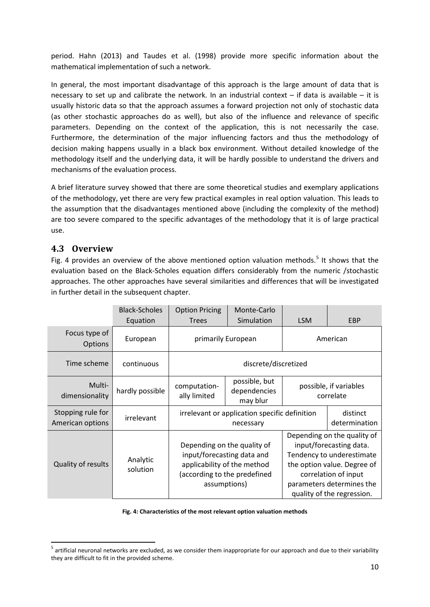period. Hahn (2013) and Taudes et al. (1998) provide more specific information about the mathematical implementation of such a network.

In general, the most important disadvantage of this approach is the large amount of data that is necessary to set up and calibrate the network. In an industrial context – if data is available – it is usually historic data so that the approach assumes a forward projection not only of stochastic data (as other stochastic approaches do as well), but also of the influence and relevance of specific parameters. Depending on the context of the application, this is not necessarily the case. Furthermore, the determination of the major influencing factors and thus the methodology of decision making happens usually in a black box environment. Without detailed knowledge of the methodology itself and the underlying data, it will be hardly possible to understand the drivers and mechanisms of the evaluation process.

A brief literature survey showed that there are some theoretical studies and exemplary applications of the methodology, yet there are very few practical examples in real option valuation. This leads to the assumption that the disadvantages mentioned above (including the complexity of the method) are too severe compared to the specific advantages of the methodology that it is of large practical use.

### **4.3 Overview**

[Fig. 4](#page-9-0) provides an overview of the above mentioned option valuation methods.<sup>[5](#page-9-1)</sup> It shows that the evaluation based on the Black-Scholes equation differs considerably from the numeric /stochastic approaches. The other approaches have several similarities and differences that will be investigated in further detail in the subsequent chapter.

|                                       | <b>Black-Scholes</b><br>Equation | <b>Option Pricing</b><br><b>Trees</b>                                                                                                    | Monte-Carlo<br>Simulation                 | <b>LSM</b>                                                                                                                                                                                            | EBP                       |
|---------------------------------------|----------------------------------|------------------------------------------------------------------------------------------------------------------------------------------|-------------------------------------------|-------------------------------------------------------------------------------------------------------------------------------------------------------------------------------------------------------|---------------------------|
| Focus type of<br><b>Options</b>       | European                         | primarily European                                                                                                                       |                                           | American                                                                                                                                                                                              |                           |
| Time scheme                           | continuous                       | discrete/discretized                                                                                                                     |                                           |                                                                                                                                                                                                       |                           |
| Multi-<br>dimensionality              | hardly possible                  | computation-<br>ally limited                                                                                                             | possible, but<br>dependencies<br>may blur | possible, if variables<br>correlate                                                                                                                                                                   |                           |
| Stopping rule for<br>American options | irrelevant                       | irrelevant or application specific definition<br>necessary                                                                               |                                           |                                                                                                                                                                                                       | distinct<br>determination |
| Quality of results                    | Analytic<br>solution             | Depending on the quality of<br>input/forecasting data and<br>applicability of the method<br>(according to the predefined<br>assumptions) |                                           | Depending on the quality of<br>input/forecasting data.<br>Tendency to underestimate<br>the option value. Degree of<br>correlation of input<br>parameters determines the<br>quality of the regression. |                           |

#### **Fig. 4: Characteristics of the most relevant option valuation methods**

<span id="page-9-1"></span><span id="page-9-0"></span> $<sup>5</sup>$  artificial neuronal networks are excluded, as we consider them inappropriate for our approach and due to their variability</sup> they are difficult to fit in the provided scheme.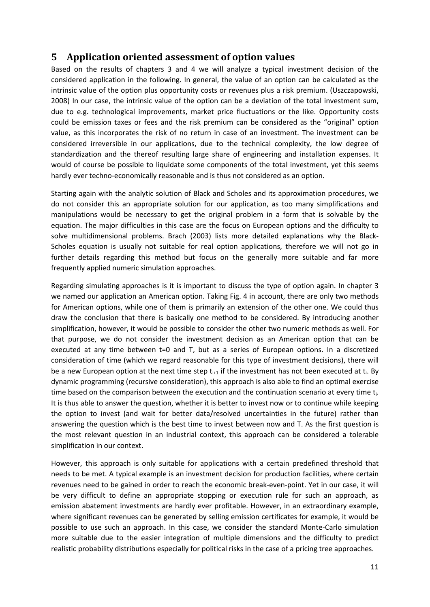### **5 Application oriented assessment of option values**

Based on the results of chapters 3 and 4 we will analyze a typical investment decision of the considered application in the following. In general, the value of an option can be calculated as the intrinsic value of the option plus opportunity costs or revenues plus a risk premium. (Uszczapowski, 2008) In our case, the intrinsic value of the option can be a deviation of the total investment sum, due to e.g. technological improvements, market price fluctuations or the like. Opportunity costs could be emission taxes or fees and the risk premium can be considered as the "original" option value, as this incorporates the risk of no return in case of an investment. The investment can be considered irreversible in our applications, due to the technical complexity, the low degree of standardization and the thereof resulting large share of engineering and installation expenses. It would of course be possible to liquidate some components of the total investment, yet this seems hardly ever techno-economically reasonable and is thus not considered as an option.

Starting again with the analytic solution of Black and Scholes and its approximation procedures, we do not consider this an appropriate solution for our application, as too many simplifications and manipulations would be necessary to get the original problem in a form that is solvable by the equation. The major difficulties in this case are the focus on European options and the difficulty to solve multidimensional problems. Brach (2003) lists more detailed explanations why the Black-Scholes equation is usually not suitable for real option applications, therefore we will not go in further details regarding this method but focus on the generally more suitable and far more frequently applied numeric simulation approaches.

Regarding simulating approaches is it is important to discuss the type of option again. In chapter 3 we named our application an American option. Taking [Fig. 4](#page-9-0) in account, there are only two methods for American options, while one of them is primarily an extension of the other one. We could thus draw the conclusion that there is basically one method to be considered. By introducing another simplification, however, it would be possible to consider the other two numeric methods as well. For that purpose, we do not consider the investment decision as an American option that can be executed at any time between t=0 and T, but as a series of European options. In a discretized consideration of time (which we regard reasonable for this type of investment decisions), there will be a new European option at the next time step  $t_{i+1}$  if the investment has not been executed at  $t_i$ . By dynamic programming (recursive consideration), this approach is also able to find an optimal exercise time based on the comparison between the execution and the continuation scenario at every time  $t_i$ . It is thus able to answer the question, whether it is better to invest now or to continue while keeping the option to invest (and wait for better data/resolved uncertainties in the future) rather than answering the question which is the best time to invest between now and T. As the first question is the most relevant question in an industrial context, this approach can be considered a tolerable simplification in our context.

However, this approach is only suitable for applications with a certain predefined threshold that needs to be met. A typical example is an investment decision for production facilities, where certain revenues need to be gained in order to reach the economic break-even-point. Yet in our case, it will be very difficult to define an appropriate stopping or execution rule for such an approach, as emission abatement investments are hardly ever profitable. However, in an extraordinary example, where significant revenues can be generated by selling emission certificates for example, it would be possible to use such an approach. In this case, we consider the standard Monte-Carlo simulation more suitable due to the easier integration of multiple dimensions and the difficulty to predict realistic probability distributions especially for political risks in the case of a pricing tree approaches.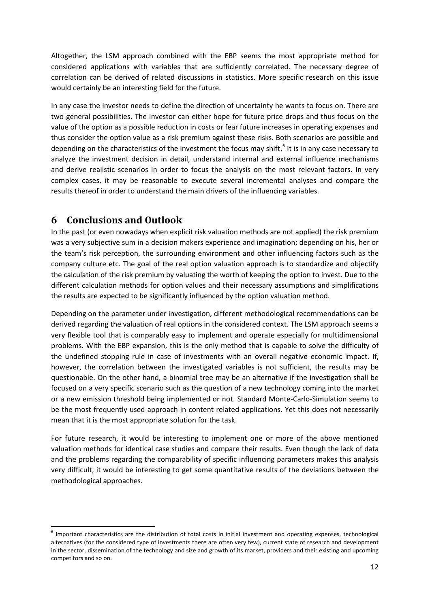Altogether, the LSM approach combined with the EBP seems the most appropriate method for considered applications with variables that are sufficiently correlated. The necessary degree of correlation can be derived of related discussions in statistics. More specific research on this issue would certainly be an interesting field for the future.

In any case the investor needs to define the direction of uncertainty he wants to focus on. There are two general possibilities. The investor can either hope for future price drops and thus focus on the value of the option as a possible reduction in costs or fear future increases in operating expenses and thus consider the option value as a risk premium against these risks. Both scenarios are possible and depending on the characteristics of the investment the focus may shift.<sup>[6](#page-11-0)</sup> It is in any case necessary to analyze the investment decision in detail, understand internal and external influence mechanisms and derive realistic scenarios in order to focus the analysis on the most relevant factors. In very complex cases, it may be reasonable to execute several incremental analyses and compare the results thereof in order to understand the main drivers of the influencing variables.

### **6 Conclusions and Outlook**

In the past (or even nowadays when explicit risk valuation methods are not applied) the risk premium was a very subjective sum in a decision makers experience and imagination; depending on his, her or the team's risk perception, the surrounding environment and other influencing factors such as the company culture etc. The goal of the real option valuation approach is to standardize and objectify the calculation of the risk premium by valuating the worth of keeping the option to invest. Due to the different calculation methods for option values and their necessary assumptions and simplifications the results are expected to be significantly influenced by the option valuation method.

Depending on the parameter under investigation, different methodological recommendations can be derived regarding the valuation of real options in the considered context. The LSM approach seems a very flexible tool that is comparably easy to implement and operate especially for multidimensional problems. With the EBP expansion, this is the only method that is capable to solve the difficulty of the undefined stopping rule in case of investments with an overall negative economic impact. If, however, the correlation between the investigated variables is not sufficient, the results may be questionable. On the other hand, a binomial tree may be an alternative if the investigation shall be focused on a very specific scenario such as the question of a new technology coming into the market or a new emission threshold being implemented or not. Standard Monte-Carlo-Simulation seems to be the most frequently used approach in content related applications. Yet this does not necessarily mean that it is the most appropriate solution for the task.

For future research, it would be interesting to implement one or more of the above mentioned valuation methods for identical case studies and compare their results. Even though the lack of data and the problems regarding the comparability of specific influencing parameters makes this analysis very difficult, it would be interesting to get some quantitative results of the deviations between the methodological approaches.

<span id="page-11-0"></span> $<sup>6</sup>$  Important characteristics are the distribution of total costs in initial investment and operating expenses, technological</sup> alternatives (for the considered type of investments there are often very few), current state of research and development in the sector, dissemination of the technology and size and growth of its market, providers and their existing and upcoming competitors and so on.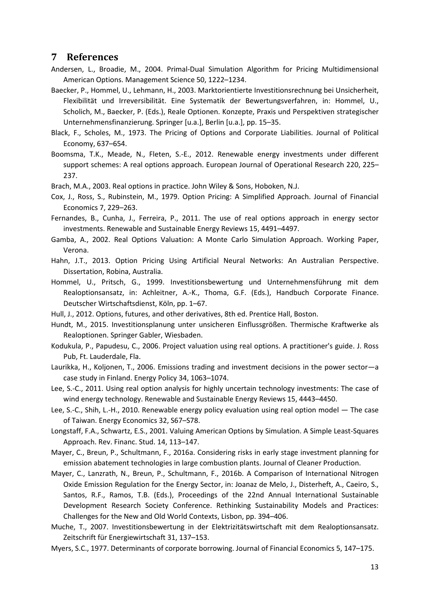#### **7 References**

- Andersen, L., Broadie, M., 2004. Primal-Dual Simulation Algorithm for Pricing Multidimensional American Options. Management Science 50, 1222–1234.
- Baecker, P., Hommel, U., Lehmann, H., 2003. Marktorientierte Investitionsrechnung bei Unsicherheit, Flexibilität und Irreversibilität. Eine Systematik der Bewertungsverfahren, in: Hommel, U., Scholich, M., Baecker, P. (Eds.), Reale Optionen. Konzepte, Praxis und Perspektiven strategischer Unternehmensfinanzierung. Springer [u.a.], Berlin [u.a.], pp. 15–35.
- Black, F., Scholes, M., 1973. The Pricing of Options and Corporate Liabilities. Journal of Political Economy, 637–654.
- Boomsma, T.K., Meade, N., Fleten, S.-E., 2012. Renewable energy investments under different support schemes: A real options approach. European Journal of Operational Research 220, 225– 237.
- Brach, M.A., 2003. Real options in practice. John Wiley & Sons, Hoboken, N.J.
- Cox, J., Ross, S., Rubinstein, M., 1979. Option Pricing: A Simplified Approach. Journal of Financial Economics 7, 229–263.
- Fernandes, B., Cunha, J., Ferreira, P., 2011. The use of real options approach in energy sector investments. Renewable and Sustainable Energy Reviews 15, 4491–4497.
- Gamba, A., 2002. Real Options Valuation: A Monte Carlo Simulation Approach. Working Paper, Verona.
- Hahn, J.T., 2013. Option Pricing Using Artificial Neural Networks: An Australian Perspective. Dissertation, Robina, Australia.
- Hommel, U., Pritsch, G., 1999. Investitionsbewertung und Unternehmensführung mit dem Realoptionsansatz, in: Achleitner, A.-K., Thoma, G.F. (Eds.), Handbuch Corporate Finance. Deutscher Wirtschaftsdienst, Köln, pp. 1–67.
- Hull, J., 2012. Options, futures, and other derivatives, 8th ed. Prentice Hall, Boston.
- Hundt, M., 2015. Investitionsplanung unter unsicheren Einflussgrößen. Thermische Kraftwerke als Realoptionen. Springer Gabler, Wiesbaden.
- Kodukula, P., Papudesu, C., 2006. Project valuation using real options. A practitioner's guide. J. Ross Pub, Ft. Lauderdale, Fla.
- Laurikka, H., Koljonen, T., 2006. Emissions trading and investment decisions in the power sector—a case study in Finland. Energy Policy 34, 1063–1074.
- Lee, S.-C., 2011. Using real option analysis for highly uncertain technology investments: The case of wind energy technology. Renewable and Sustainable Energy Reviews 15, 4443–4450.
- Lee, S.-C., Shih, L.-H., 2010. Renewable energy policy evaluation using real option model The case of Taiwan. Energy Economics 32, S67–S78.
- Longstaff, F.A., Schwartz, E.S., 2001. Valuing American Options by Simulation. A Simple Least-Squares Approach. Rev. Financ. Stud. 14, 113–147.
- Mayer, C., Breun, P., Schultmann, F., 2016a. Considering risks in early stage investment planning for emission abatement technologies in large combustion plants. Journal of Cleaner Production.
- Mayer, C., Lanzrath, N., Breun, P., Schultmann, F., 2016b. A Comparison of International Nitrogen Oxide Emission Regulation for the Energy Sector, in: Joanaz de Melo, J., Disterheft, A., Caeiro, S., Santos, R.F., Ramos, T.B. (Eds.), Proceedings of the 22nd Annual International Sustainable Development Research Society Conference. Rethinking Sustainability Models and Practices: Challenges for the New and Old World Contexts, Lisbon, pp. 394–406.
- Muche, T., 2007. Investitionsbewertung in der Elektrizitätswirtschaft mit dem Realoptionsansatz. Zeitschrift für Energiewirtschaft 31, 137–153.
- Myers, S.C., 1977. Determinants of corporate borrowing. Journal of Financial Economics 5, 147–175.